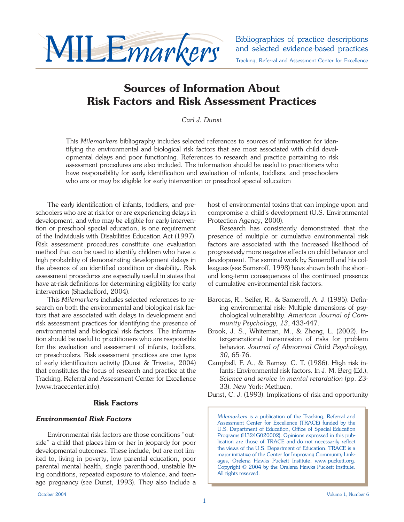

and selected evidence-based practices Tracking, Referral and Assessment Center for Excellence

# **Sources of Information About Risk Factors and Risk Assessment Practices**

*Carl J. Dunst*

This *Milemarkers* bibliography includes selected references to sources of information for identifying the environmental and biological risk factors that are most associated with child developmental delays and poor functioning. References to research and practice pertaining to risk assessment procedures are also included. The information should be useful to practitioners who have responsibility for early identification and evaluation of infants, toddlers, and preschoolers who are or may be eligible for early intervention or preschool special education

The early identification of infants, toddlers, and preschoolers who are at risk for or are experiencing delays in development, and who may be eligible for early intervention or preschool special education, is one requirement of the Individuals with Disabilities Education Act (1997). Risk assessment procedures constitute one evaluation method that can be used to identify children who have a high probability of demonstrating development delays in the absence of an identified condition or disability. Risk assessment procedures are especially useful in states that have at-risk definitions for determining eligibility for early intervention (Shackelford, 2004).

 This *Milemarkers* includes selected references to research on both the environmental and biological risk factors that are associated with delays in development and risk assessment practices for identifying the presence of environmental and biological risk factors. The information should be useful to practitioners who are responsible for the evaluation and assessment of infants, toddlers, or preschoolers. Risk assessment practices are one type of early identification activity (Dunst & Trivette, 2004) that constitutes the focus of research and practice at the Tracking, Referral and Assessment Center for Excellence (www.tracecenter.info).

# **Risk Factors**

### *Environmental Risk Factors*

 Environmental risk factors are those conditions "outside" a child that places him or her in jeopardy for poor developmental outcomes. These include, but are not limited to, living in poverty, low parental education, poor parental mental health, single parenthood, unstable living conditions, repeated exposure to violence, and teenage pregnancy (see Dunst, 1993). They also include a host of environmental toxins that can impinge upon and compromise a child's development (U.S. Environmental Protection Agency, 2000).

 Research has consistently demonstrated that the presence of multiple or cumulative environmental risk factors are associated with the increased likelihood of progressively more negative effects on child behavior and development. The seminal work by Sameroff and his colleagues (see Sameroff, 1998) have shown both the shortand long-term consequences of the continued presence of cumulative environmental risk factors.

- Barocas, R., Seifer, R., & Sameroff, A. J. (1985). Defining environmental risk: Multiple dimensions of psychological vulnerability. *American Journal of Community Psychology, 13*, 433-447.
- Brook, J. S., Whiteman, M., & Zheng, L. (2002). Intergenerational transmission of risks for problem behavior. *Journal of Abnormal Child Psychology, 30*, 65-76.
- Campbell, F. A., & Ramey, C. T. (1986). High risk infants: Environmental risk factors. In J. M. Berg (Ed.), *Science and service in mental retardation* (pp. 23- 33). New York: Methuen.

Dunst, C. J. (1993). Implications of risk and opportunity

*Milemarkers* is a publication of the Tracking, Referral and Assessment Center for Excellence (TRACE) funded by the U.S. Department of Education, Office of Special Education Programs (H324G020002). Opinions expressed in this publication are those of TRACE and do not necessarily reflect the views of the U.S. Department of Education. TRACE is a major initiative of the Center for Improving Community Linkages, Orelena Hawks Puckett Institute, www.puckett.org. Copyright © 2004 by the Orelena Hawks Puckett Institute. All rights reserved.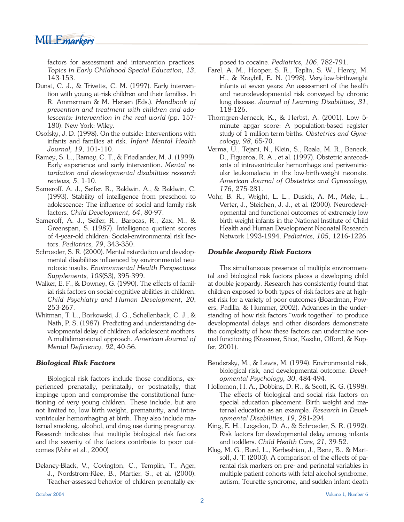MILE*markers* 

factors for assessment and intervention practices. *Topics in Early Childhood Special Education, 13*, 143-153.

- Dunst, C. J., & Trivette, C. M. (1997). Early intervention with young at-risk children and their families. In R. Ammerman & M. Hersen (Eds.), *Handbook of prevention and treatment with children and adolescents: Intervention in the real world* (pp. 157- 180). New York: Wiley.
- Osofsky, J. D. (1998). On the outside: Interventions with infants and families at risk. *Infant Mental Health Journal, 19*, 101-110.
- Ramey, S. L., Ramey, C. T., & Friedlander, M. J. (1999). Early experience and early intervention. *Mental retardation and developmental disabilities research reviews, 5*, 1-10.
- Sameroff, A. J., Seifer, R., Baldwin, A., & Baldwin, C. (1993). Stability of intelligence from preschool to adolescence: The influence of social and family risk factors. *Child Development, 64*, 80-97.
- Sameroff, A. J., Seifer, R., Barocas, R., Zax, M., & Greenspan, S. (1987). Intelligence quotient scores of 4-year-old children: Social-environmental risk factors. *Pediatrics, 79*, 343-350.
- Schroeder, S. R. (2000). Mental retardation and developmental disabilities influenced by environmental neurotoxic insults. *Environmental Health Perspectives Supplements, 108*(S3), 395-399.
- Walker, E. F., & Downey, G. (1990). The effects of familial risk factors on social-cognitive abilities in children. *Child Psychiatry and Human Development, 20*, 253-267.
- Whitman, T. L., Borkowski, J. G., Schellenback, C. J., & Nath, P. S. (1987). Predicting and understanding developmental delay of children of adolescent mothers: A multidimensional approach. *American Journal of Mental Deficiency, 92, 40-56.*

### *Biological Risk Factors*

 Biological risk factors include those conditions, experienced prenatally, perinatally, or postnatally, that impinge upon and compromise the constitutional functioning of very young children. These include, but are not limited to, low birth weight, prematurity, and intraventricular hemorrhaging at birth. They also include maternal smoking, alcohol, and drug use during pregnancy. Research indicates that multiple biological risk factors and the severity of the factors contribute to poor outcomes (Vohr et al., 2000)

Delaney-Black, V., Covington, C., Templin, T., Ager, J., Nordstrom-Klee, B., Martier, S., et al. (2000). Teacher-assessed behavior of children prenatally exposed to cocaine. *Pediatrics, 106*, 782-791.

- Farel, A. M., Hooper, S. R., Teplin, S. W., Henry, M. H., & Kraybill, E. N. (1998). Very-low-birthweight infants at seven years: An assessment of the health and neurodevelopmental risk conveyed by chronic lung disease. *Journal of Learning Disabilities, 31*, 118-126.
- Thorngren-Jerneck, K., & Herbst, A. (2001). Low 5 minute apgar score: A population-based register study of 1 million term births. *Obstetrics and Gynecology, 98*, 65-70.
- Verma, U., Tejani, N., Klein, S., Reale, M. R., Beneck, D., Figueroa, R. A., et al. (1997). Obstetric antecedents of intraventricular hemorrhage and periventricular leukomalacia in the low-birth-weight neonate. *American Journal of Obstetrics and Gynecology, 176*, 275-281.
- Vohr, B. R., Wright, L. L., Dusick, A. M., Mele, L., Verter, J., Steichen, J. J., et al. (2000). Neurodevelopmental and functional outcomes of extremely low birth weight infants in the National Institute of Child Health and Human Development Neonatal Research Network 1993-1994. *Pediatrics, 105*, 1216-1226.

#### *Double Jeopardy Risk Factors*

 The simultaneous presence of multiple environmental and biological risk factors places a developing child at double jeopardy. Research has consistently found that children exposed to both types of risk factors are at highest risk for a variety of poor outcomes (Boardman, Powers, Padilla, & Hummer, 2002). Advances in the understanding of how risk factors "work together" to produce developmental delays and other disorders demonstrate the complexity of how these factors can undermine normal functioning (Kraemer, Stice, Kazdin, Offord, & Kupfer, 2001).

- Bendersky, M., & Lewis, M. (1994). Environmental risk, biological risk, and developmental outcome. *Developmental Psychology, 30*, 484-494.
- Hollomon, H. A., Dobbins, D. R., & Scott, K. G. (1998). The effects of biological and social risk factors on special education placement: Birth weight and maternal education as an example. *Research in Developmental Disabilities, 19*, 281-294.
- King, E. H., Logsdon, D. A., & Schroeder, S. R. (1992). Risk factors for developmental delay among infants and toddlers. *Child Health Care, 21*, 39-52.
- Klug, M. G., Burd, L., Kerbeshian, J., Benz, B., & Martsolf, J. T. (2003). A comparison of the effects of parental risk markers on pre- and perinatal variables in multiple patient cohorts with fetal alcohol syndrome, autism, Tourette syndrome, and sudden infant death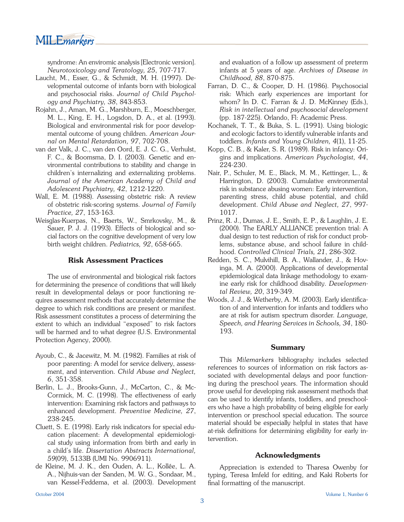MILE*markers* 

syndrome: An enviromic analysis [Electronic version]. *Neurotoxicology and Teratology, 25*, 707-717.

- Laucht, M., Esser, G., & Schmidt, M. H. (1997). Developmental outcome of infants born with biological and psychosocial risks. *Journal of Child Psychology and Psychiatry, 38*, 843-853.
- Rojahn, J., Aman, M. G., Marshburn, E., Moeschberger, M. L., King, E. H., Logsdon, D. A., et al. (1993). Biological and environmental risk for poor developmental outcome of young children. *American Journal on Mental Retardation, 97*, 702-708.
- van der Valk, J. C., van den Oord, E. J. C. G., Verhulst, F. C., & Boomsma, D. I. (2003). Genetic and environmental contributions to stability and change in children's internalizing and externalizing problems. *Journal of the American Academy of Child and Adolescent Psychiatry, 42*, 1212-1220.
- Wall, E. M. (1988). Assessing obstetric risk: A review of obstetric risk-scoring systems. *Journal of Family Practice, 27*, 153-163.
- Weisglas-Kuerpas, N., Baerts, W., Smrkovsky, M., & Sauer, P. J. J. (1993). Effects of biological and social factors on the cognitive development of very low birth weight children. *Pediatrics, 92*, 658-665.

#### **Risk Assessment Practices**

 The use of environmental and biological risk factors for determining the presence of conditions that will likely result in developmental delays or poor functioning requires assessment methods that accurately determine the degree to which risk conditions are present or manifest. Risk assessment constitutes a process of determining the extent to which an individual "exposed" to risk factors will be harmed and to what degree (U.S. Environmental Protection Agency, 2000).

- Ayoub, C., & Jacewitz, M. M. (1982). Families at risk of poor parenting: A model for service delivery, assessment, and intervention. *Child Abuse and Neglect, 6*, 351-358.
- Berlin, L. J., Brooks-Gunn, J., McCarton, C., & Mc-Cormick, M. C. (1998). The effectiveness of early intervention: Examining risk factors and pathways to enhanced development. *Preventive Medicine, 27*, 238-245.
- Cluett, S. E. (1998). Early risk indicators for special education placement: A developmental epidemiological study using information from birth and early in a child's life. *Dissertation Abstracts International, 59*(09), 5133B (UMI No. 9906911).
- de Kleine, M. J. K., den Ouden, A. L., Kollée, L. A. A., Nijhuis-van der Sanden, M. W. G., Sondaar, M., van Kessel-Feddema, et al. (2003). Development

and evaluation of a follow up assessment of preterm infants at 5 years of age. *Archives of Disease in Childhood, 88*, 870-875.

- Farran, D. C., & Cooper, D. H. (1986). Psychosocial risk: Which early experiences are important for whom? In D. C. Farran & J. D. McKinney (Eds.), *Risk in intellectual and psychosocial development* (pp. 187-225). Orlando, Fl: Academic Press.
- Kochanek, T. T., & Buka, S. L. (1991). Using biologic and ecologic factors to identify vulnerable infants and toddlers. *Infants and Young Children, 4*(1), 11-25.
- Kopp, C. B., & Kaler, S. R. (1989). Risk in infancy: Origins and implications. *American Psychologist, 44*, 224-230.
- Nair, P., Schuler, M. E., Black, M. M., Kettinger, L., & Harrington, D. (2003). Cumulative environmental risk in substance abusing women: Early intervention, parenting stress, child abuse potential, and child development. *Child Abuse and Neglect, 27*, 997- 1017.
- Prinz, R. J., Dumas, J. E., Smith, E. P., & Laughlin, J. E. (2000). The EARLY ALLIANCE prevention trial: A dual design to test reduction of risk for conduct problems, substance abuse, and school failure in childhood. *Controlled Clinical Trials, 21*, 286-302.
- Redden, S. C., Mulvihill, B. A., Wallander, J., & Hovinga, M. A. (2000). Applications of developmental epidemiological data linkage methodology to examine early risk for childhood disability. *Developmental Review, 20*, 319-349.
- Woods, J. J., & Wetherby, A. M. (2003). Early identification of and intervention for infants and toddlers who are at risk for autism spectrum disorder. *Language, Speech, and Hearing Services in Schools, 34*, 180- 193.

#### **Summary**

 This *Milemarkers* bibliography includes selected references to sources of information on risk factors associated with developmental delays and poor functioning during the preschool years. The information should prove useful for developing risk assessment methods that can be used to identify infants, toddlers, and preschoolers who have a high probability of being eligible for early intervention or preschool special education. The source material should be especially helpful in states that have at-risk definitions for determining eligibility for early intervention.

#### **Acknowledgments**

 Appreciation is extended to Tharesa Owenby for typing, Teresa Imfeld for editing, and Kaki Roberts for final formatting of the manuscript.